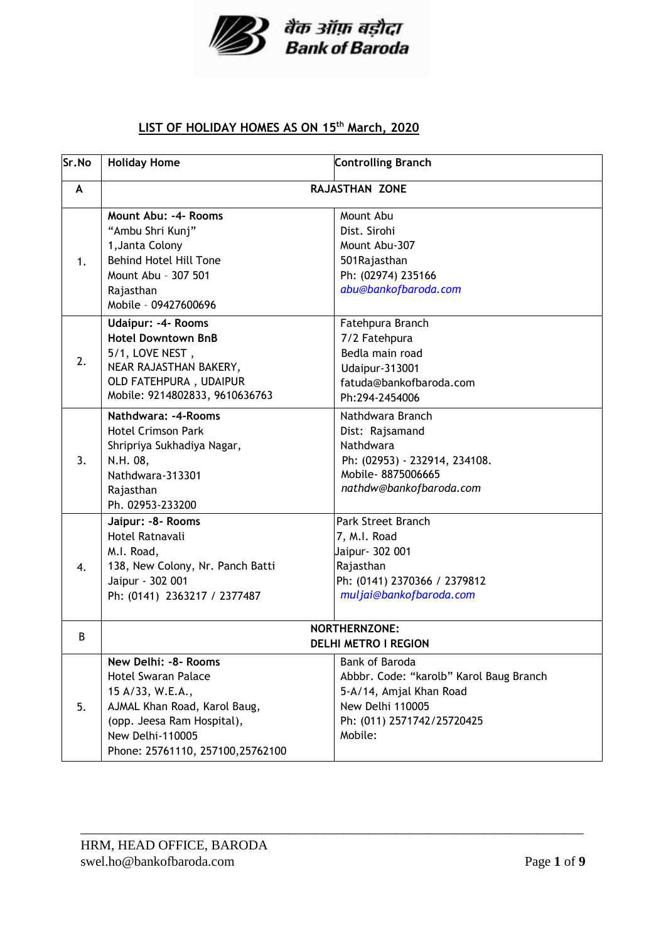

## **LIST OF HOLIDAY HOMES AS ON 15th March, 2020**

| Sr.No        | <b>Holiday Home</b>                                                                                                                                                                           | <b>Controlling Branch</b>                                                                                                                         |
|--------------|-----------------------------------------------------------------------------------------------------------------------------------------------------------------------------------------------|---------------------------------------------------------------------------------------------------------------------------------------------------|
| A            | RAJASTHAN ZONE                                                                                                                                                                                |                                                                                                                                                   |
| 1.           | Mount Abu: -4- Rooms<br>"Ambu Shri Kunj"<br>1, Janta Colony<br><b>Behind Hotel Hill Tone</b><br>Mount Abu - 307 501<br>Rajasthan<br>Mobile - 09427600696                                      | Mount Abu<br>Dist. Sirohi<br>Mount Abu-307<br>501 Rajasthan<br>Ph: (02974) 235166<br>abu@bankofbaroda.com                                         |
| 2.           | <b>Udaipur: -4- Rooms</b><br><b>Hotel Downtown BnB</b><br>5/1, LOVE NEST,<br>NEAR RAJASTHAN BAKERY,<br>OLD FATEHPURA, UDAIPUR<br>Mobile: 9214802833, 9610636763                               | Fatehpura Branch<br>7/2 Fatehpura<br>Bedla main road<br><b>Udaipur-313001</b><br>fatuda@bankofbaroda.com<br>Ph:294-2454006                        |
| 3.           | Nathdwara: -4-Rooms<br><b>Hotel Crimson Park</b><br>Shripriya Sukhadiya Nagar,<br>N.H. 08,<br>Nathdwara-313301<br>Rajasthan<br>Ph. 02953-233200                                               | Nathdwara Branch<br>Dist: Rajsamand<br>Nathdwara<br>Ph: (02953) - 232914, 234108.<br>Mobile-8875006665<br>nathdw@bankofbaroda.com                 |
| $\mathbf{4}$ | Jaipur: - 8 - Rooms<br>Hotel Ratnavali<br>M.I. Road,<br>138, New Colony, Nr. Panch Batti<br>Jaipur - 302 001<br>Ph: (0141) 2363217 / 2377487                                                  | Park Street Branch<br>7, M.I. Road<br>Jaipur - 302 001<br>Rajasthan<br>Ph: (0141) 2370366 / 2379812<br>muljai@bankofbaroda.com                    |
| B            | <b>NORTHERNZONE:</b><br><b>DELHI METRO I REGION</b>                                                                                                                                           |                                                                                                                                                   |
| 5.           | New Delhi: -8- Rooms<br><b>Hotel Swaran Palace</b><br>15 A/33, W.E.A.,<br>AJMAL Khan Road, Karol Baug,<br>(opp. Jeesa Ram Hospital),<br>New Delhi-110005<br>Phone: 25761110, 257100, 25762100 | Bank of Baroda<br>Abbbr. Code: "karolb" Karol Baug Branch<br>5-A/14, Amjal Khan Road<br>New Delhi 110005<br>Ph: (011) 2571742/25720425<br>Mobile: |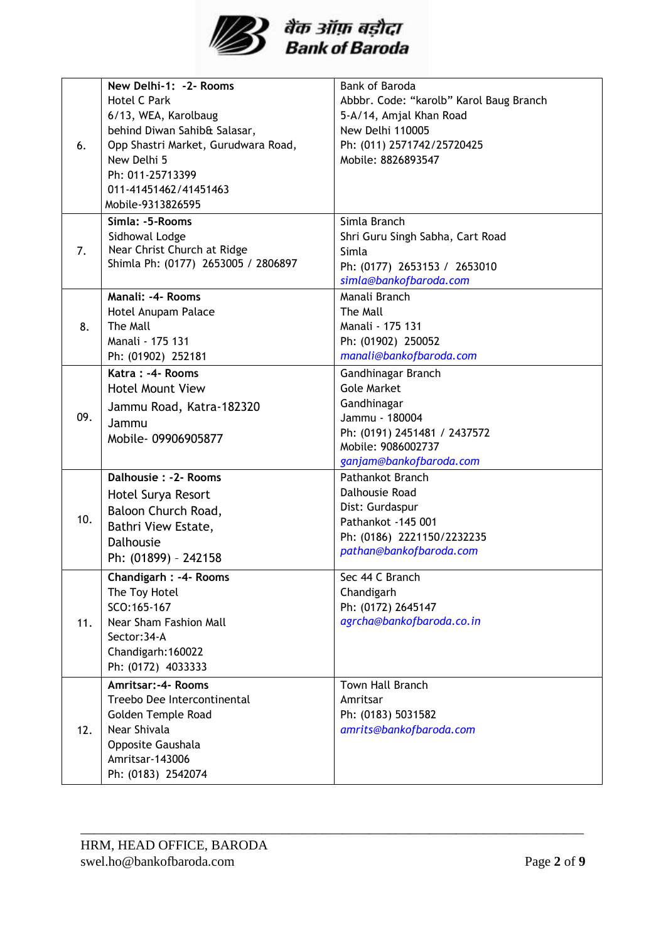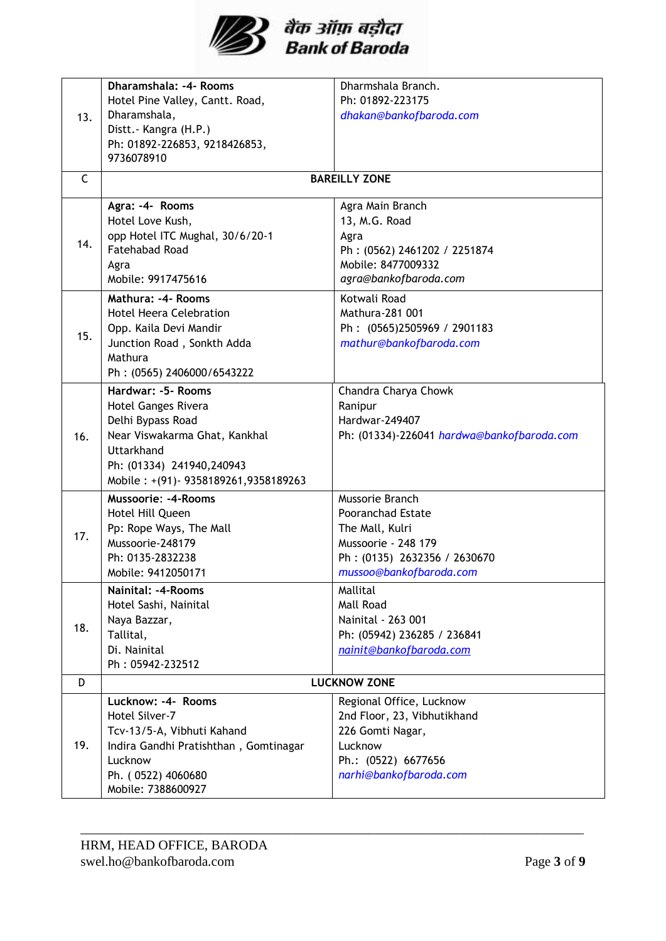

|     | Dharamshala: -4- Rooms                | Dharmshala Branch.                         |
|-----|---------------------------------------|--------------------------------------------|
|     | Hotel Pine Valley, Cantt. Road,       | Ph: 01892-223175                           |
| 13. | Dharamshala,                          | dhakan@bankofbaroda.com                    |
|     | Distt. - Kangra (H.P.)                |                                            |
|     | Ph: 01892-226853, 9218426853,         |                                            |
|     | 9736078910                            |                                            |
| C   |                                       | <b>BAREILLY ZONE</b>                       |
|     |                                       |                                            |
|     | Agra: -4- Rooms                       | Agra Main Branch                           |
|     | Hotel Love Kush,                      | 13, M.G. Road                              |
| 14. | opp Hotel ITC Mughal, 30/6/20-1       | Agra                                       |
|     | <b>Fatehabad Road</b>                 | Ph: (0562) 2461202 / 2251874               |
|     | Agra                                  | Mobile: 8477009332                         |
|     | Mobile: 9917475616                    | agra@bankofbaroda.com                      |
|     | Mathura: -4- Rooms                    | Kotwali Road                               |
|     | <b>Hotel Heera Celebration</b>        | Mathura-281 001                            |
| 15. | Opp. Kaila Devi Mandir                | Ph: (0565)2505969 / 2901183                |
|     | Junction Road, Sonkth Adda            | mathur@bankofbaroda.com                    |
|     | Mathura                               |                                            |
|     | Ph: (0565) 2406000/6543222            |                                            |
|     | Hardwar: -5- Rooms                    | Chandra Charya Chowk                       |
|     | Hotel Ganges Rivera                   | Ranipur                                    |
|     | Delhi Bypass Road                     | Hardwar-249407                             |
| 16. | Near Viswakarma Ghat, Kankhal         | Ph: (01334)-226041 hardwa@bankofbaroda.com |
|     | <b>Uttarkhand</b>                     |                                            |
|     | Ph: (01334) 241940,240943             |                                            |
|     | Mobile: +(91)-9358189261,9358189263   |                                            |
|     | <b>Mussoorie: -4-Rooms</b>            | Mussorie Branch                            |
|     | Hotel Hill Queen                      | <b>Pooranchad Estate</b>                   |
| 17. | Pp: Rope Ways, The Mall               | The Mall, Kulri                            |
|     | Mussoorie-248179                      | Mussoorie - 248 179                        |
|     | Ph: 0135-2832238                      | Ph: (0135) 2632356 / 2630670               |
|     | Mobile: 9412050171                    | mussoo@bankofbaroda.com                    |
|     | Nainital: -4-Rooms                    | Mallital                                   |
|     | Hotel Sashi, Nainital                 | Mall Road                                  |
| 18. | Naya Bazzar,                          | Nainital - 263 001                         |
|     | Tallital,                             | Ph: (05942) 236285 / 236841                |
|     | Di. Nainital                          | nainit@bankofbaroda.com                    |
|     | Ph: 05942-232512                      |                                            |
| D   |                                       | <b>LUCKNOW ZONE</b>                        |
|     | Lucknow: -4- Rooms                    | Regional Office, Lucknow                   |
| 19. | Hotel Silver-7                        | 2nd Floor, 23, Vibhutikhand                |
|     | Tcv-13/5-A, Vibhuti Kahand            | 226 Gomti Nagar,                           |
|     | Indira Gandhi Pratishthan, Gomtinagar | Lucknow                                    |
|     | Lucknow                               | Ph.: (0522) 6677656                        |
|     | Ph. (0522) 4060680                    | narhi@bankofbaroda.com                     |
|     | Mobile: 7388600927                    |                                            |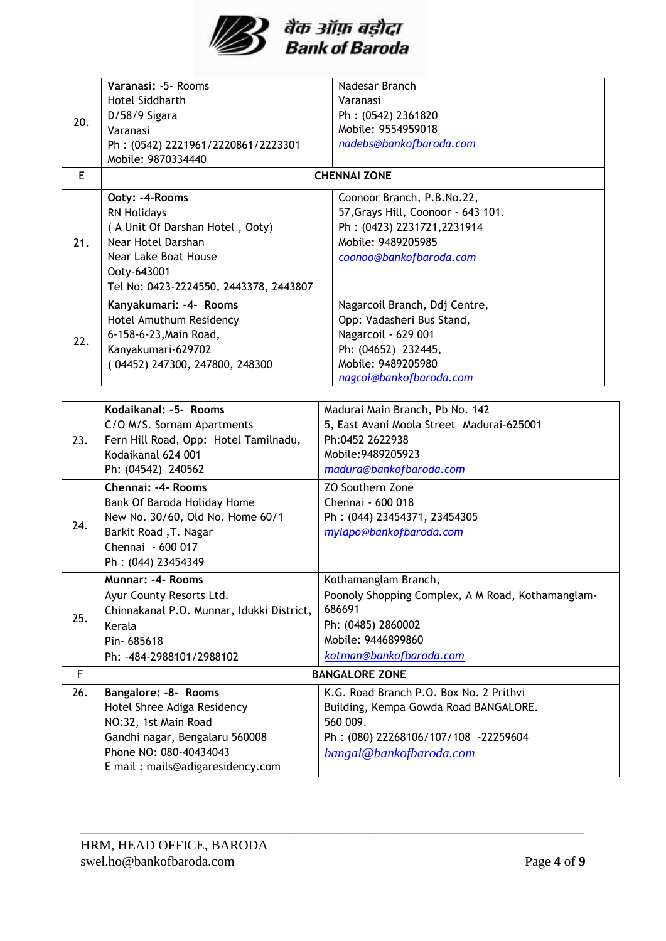

|     | Varanasi: -5- Rooms                       | Nadesar Branch                                    |
|-----|-------------------------------------------|---------------------------------------------------|
|     | Hotel Siddharth                           | Varanasi                                          |
| 20. | D/58/9 Sigara                             | Ph: (0542) 2361820                                |
|     | Varanasi                                  | Mobile: 9554959018                                |
|     | Ph: (0542) 2221961/2220861/2223301        | nadebs@bankofbaroda.com                           |
|     | Mobile: 9870334440                        |                                                   |
| E   |                                           | <b>CHENNAI ZONE</b>                               |
|     | Ooty: -4-Rooms                            | Coonoor Branch, P.B.No.22,                        |
|     | <b>RN Holidays</b>                        | 57, Grays Hill, Coonoor - 643 101.                |
|     | (A Unit Of Darshan Hotel, Ooty)           | Ph: (0423) 2231721,2231914                        |
| 21. | Near Hotel Darshan                        | Mobile: 9489205985                                |
|     | Near Lake Boat House                      | coonoo@bankofbaroda.com                           |
|     | Ooty-643001                               |                                                   |
|     | Tel No: 0423-2224550, 2443378, 2443807    |                                                   |
|     | Kanyakumari: -4- Rooms                    | Nagarcoil Branch, Ddj Centre,                     |
|     | Hotel Amuthum Residency                   | Opp: Vadasheri Bus Stand,                         |
| 22. | 6-158-6-23, Main Road,                    | Nagarcoil - 629 001                               |
|     | Kanyakumari-629702                        | Ph: (04652) 232445,                               |
|     | (04452) 247300, 247800, 248300            | Mobile: 9489205980                                |
|     |                                           | nagcoi@bankofbaroda.com                           |
|     |                                           |                                                   |
|     | Kodaikanal: -5- Rooms                     | Madurai Main Branch, Pb No. 142                   |
|     | C/O M/S. Sornam Apartments                | 5, East Avani Moola Street Madurai-625001         |
| 23. | Fern Hill Road, Opp: Hotel Tamilnadu,     | Ph:0452 2622938                                   |
|     | Kodaikanal 624 001                        | Mobile: 9489205923                                |
|     | Ph: (04542) 240562                        | madura@bankofbaroda.com                           |
|     | Chennai: -4- Rooms                        | ZO Southern Zone                                  |
|     | Bank Of Baroda Holiday Home               | Chennai - 600 018                                 |
| 24. | New No. 30/60, Old No. Home 60/1          | Ph: (044) 23454371, 23454305                      |
|     | Barkit Road , T. Nagar                    | mylapo@bankofbaroda.com                           |
|     | Chennai - 600 017                         |                                                   |
|     | Ph: (044) 23454349                        |                                                   |
|     | Munnar: -4- Rooms                         | Kothamanglam Branch,                              |
|     | Ayur County Resorts Ltd.                  | Poonoly Shopping Complex, A M Road, Kothamanglam- |
| 25. | Chinnakanal P.O. Munnar, Idukki District, | 686691                                            |
|     | Kerala                                    | Ph: (0485) 2860002                                |
|     | Pin-685618                                | Mobile: 9446899860                                |
|     | Ph: -484-2988101/2988102                  | kotman@bankofbaroda.com                           |
| F   | <b>BANGALORE ZONE</b>                     |                                                   |
| 26. | Bangalore: -8- Rooms                      | K.G. Road Branch P.O. Box No. 2 Prithvi           |
|     | Hotel Shree Adiga Residency               | Building, Kempa Gowda Road BANGALORE.             |
|     | NO:32, 1st Main Road                      | 560 009.                                          |
|     | Gandhi nagar, Bengalaru 560008            | Ph: (080) 22268106/107/108 -22259604              |
|     | Phone NO: 080-40434043                    | bangal@bankofbaroda.com                           |
|     | E mail: mails@adigaresidency.com          |                                                   |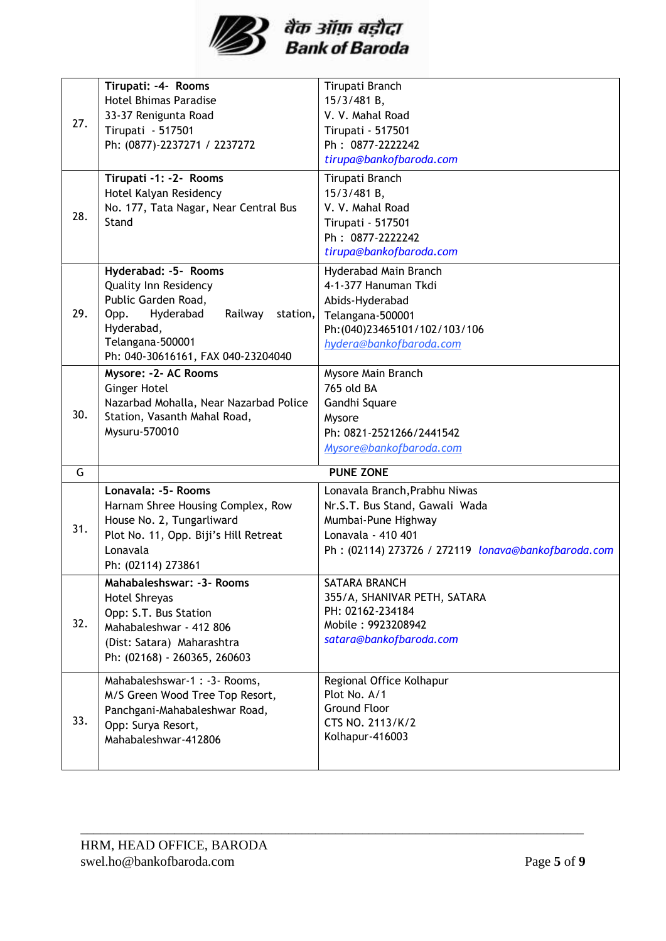

| 27. | Tirupati: -4- Rooms<br><b>Hotel Bhimas Paradise</b><br>33-37 Renigunta Road<br>Tirupati - 517501<br>Ph: (0877)-2237271 / 2237272                                                                | Tirupati Branch<br>15/3/481 B,<br>V. V. Mahal Road<br>Tirupati - 517501<br>Ph: 0877-2222242<br>tirupa@bankofbaroda.com                                              |  |  |
|-----|-------------------------------------------------------------------------------------------------------------------------------------------------------------------------------------------------|---------------------------------------------------------------------------------------------------------------------------------------------------------------------|--|--|
| 28. | Tirupati -1: -2- Rooms<br>Hotel Kalyan Residency<br>No. 177, Tata Nagar, Near Central Bus<br>Stand                                                                                              | Tirupati Branch<br>15/3/481 B,<br>V. V. Mahal Road<br>Tirupati - 517501<br>Ph: 0877-2222242<br>tirupa@bankofbaroda.com                                              |  |  |
| 29. | Hyderabad: -5- Rooms<br><b>Quality Inn Residency</b><br>Public Garden Road,<br>Hyderabad<br>Railway<br>Opp.<br>station,<br>Hyderabad,<br>Telangana-500001<br>Ph: 040-30616161, FAX 040-23204040 | Hyderabad Main Branch<br>4-1-377 Hanuman Tkdi<br>Abids-Hyderabad<br>Telangana-500001<br>Ph: (040)23465101/102/103/106<br>hydera@bankofbaroda.com                    |  |  |
| 30. | Mysore: - 2- AC Rooms<br>Ginger Hotel<br>Nazarbad Mohalla, Near Nazarbad Police<br>Station, Vasanth Mahal Road,<br>Mysuru-570010                                                                | Mysore Main Branch<br>765 old BA<br>Gandhi Square<br>Mysore<br>Ph: 0821-2521266/2441542<br>Mysore@bankofbaroda.com                                                  |  |  |
| G   |                                                                                                                                                                                                 | <b>PUNE ZONE</b>                                                                                                                                                    |  |  |
| 31. | Lonavala: -5- Rooms<br>Harnam Shree Housing Complex, Row<br>House No. 2, Tungarliward<br>Plot No. 11, Opp. Biji's Hill Retreat<br>Lonavala<br>Ph: (02114) 273861                                | Lonavala Branch, Prabhu Niwas<br>Nr.S.T. Bus Stand, Gawali Wada<br>Mumbai-Pune Highway<br>Lonavala - 410 401<br>Ph: (02114) 273726 / 272119 lonava@bankofbaroda.com |  |  |
| 32. | Mahabaleshswar: -3- Rooms<br><b>Hotel Shreyas</b><br>Opp: S.T. Bus Station<br>Mahabaleshwar - 412 806<br>(Dist: Satara) Maharashtra<br>Ph: (02168) - 260365, 260603                             | SATARA BRANCH<br>355/A, SHANIVAR PETH, SATARA<br>PH: 02162-234184<br>Mobile: 9923208942<br>satara@bankofbaroda.com                                                  |  |  |
| 33. | Mahabaleshswar-1 : -3- Rooms,<br>M/S Green Wood Tree Top Resort,<br>Panchgani-Mahabaleshwar Road,<br>Opp: Surya Resort,<br>Mahabaleshwar-412806                                                 | Regional Office Kolhapur<br>Plot No. A/1<br><b>Ground Floor</b><br>CTS NO. 2113/K/2<br>Kolhapur-416003                                                              |  |  |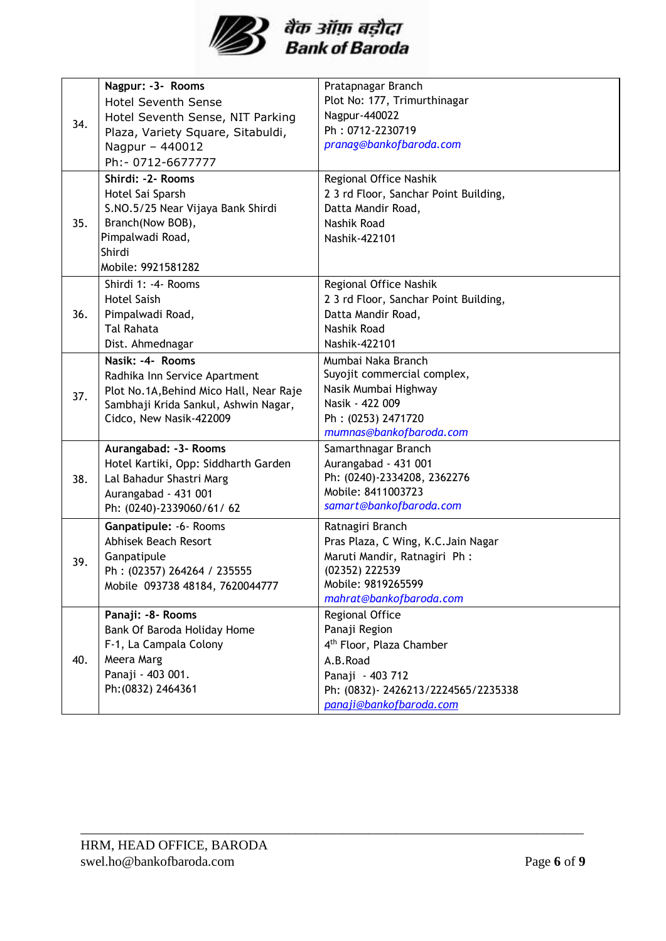

|            | Nagpur: -3- Rooms                                                                                | Pratapnagar Branch                                                                                                                    |
|------------|--------------------------------------------------------------------------------------------------|---------------------------------------------------------------------------------------------------------------------------------------|
| 34.        |                                                                                                  |                                                                                                                                       |
|            | <b>Hotel Seventh Sense</b>                                                                       | Plot No: 177, Trimurthinagar                                                                                                          |
|            | Hotel Seventh Sense, NIT Parking                                                                 | Nagpur-440022                                                                                                                         |
|            | Plaza, Variety Square, Sitabuldi,                                                                | Ph: 0712-2230719                                                                                                                      |
|            | Nagpur - 440012                                                                                  | pranag@bankofbaroda.com                                                                                                               |
|            | Ph:- 0712-6677777                                                                                |                                                                                                                                       |
|            | Shirdi: -2- Rooms                                                                                | Regional Office Nashik                                                                                                                |
|            | Hotel Sai Sparsh                                                                                 | 2 3 rd Floor, Sanchar Point Building,                                                                                                 |
|            | S.NO.5/25 Near Vijaya Bank Shirdi                                                                | Datta Mandir Road,                                                                                                                    |
| 35.        | Branch(Now BOB),                                                                                 | Nashik Road                                                                                                                           |
|            | Pimpalwadi Road,                                                                                 | Nashik-422101                                                                                                                         |
|            | Shirdi                                                                                           |                                                                                                                                       |
|            | Mobile: 9921581282                                                                               |                                                                                                                                       |
|            | Shirdi 1: -4- Rooms                                                                              | Regional Office Nashik                                                                                                                |
|            | <b>Hotel Saish</b>                                                                               | 2 3 rd Floor, Sanchar Point Building,                                                                                                 |
| 36.        | Pimpalwadi Road,                                                                                 | Datta Mandir Road,                                                                                                                    |
|            | <b>Tal Rahata</b>                                                                                | Nashik Road                                                                                                                           |
|            | Dist. Ahmednagar                                                                                 | Nashik-422101                                                                                                                         |
|            | Nasik: -4- Rooms                                                                                 | Mumbai Naka Branch                                                                                                                    |
|            | Radhika Inn Service Apartment                                                                    | Suyojit commercial complex,                                                                                                           |
|            | Plot No.1A, Behind Mico Hall, Near Raje                                                          | Nasik Mumbai Highway                                                                                                                  |
|            | Sambhaji Krida Sankul, Ashwin Nagar,                                                             | Nasik - 422 009                                                                                                                       |
|            | Cidco, New Nasik-422009                                                                          | Ph: (0253) 2471720                                                                                                                    |
|            |                                                                                                  | mumnas@bankofbaroda.com                                                                                                               |
|            | Aurangabad: -3- Rooms                                                                            | Samarthnagar Branch                                                                                                                   |
|            | Hotel Kartiki, Opp: Siddharth Garden                                                             | Aurangabad - 431 001                                                                                                                  |
| 38.        | Lal Bahadur Shastri Marg                                                                         |                                                                                                                                       |
|            | Aurangabad - 431 001                                                                             |                                                                                                                                       |
|            | Ph: (0240)-2339060/61/62                                                                         |                                                                                                                                       |
|            | Ganpatipule: -6- Rooms                                                                           | Ratnagiri Branch                                                                                                                      |
|            | Abhisek Beach Resort                                                                             | Pras Plaza, C Wing, K.C. Jain Nagar                                                                                                   |
|            | Ganpatipule                                                                                      | Maruti Mandir, Ratnagiri Ph:                                                                                                          |
|            | Ph: (02357) 264264 / 235555                                                                      | (02352) 222539                                                                                                                        |
|            | Mobile 093738 48184, 7620044777                                                                  | Mobile: 9819265599                                                                                                                    |
|            |                                                                                                  | mahrat@bankofbaroda.com                                                                                                               |
|            | Panaji: - 8 - Rooms                                                                              | Regional Office                                                                                                                       |
|            |                                                                                                  |                                                                                                                                       |
|            |                                                                                                  |                                                                                                                                       |
| 40.        | Meera Marg                                                                                       | A.B.Road                                                                                                                              |
|            |                                                                                                  | Panaji - 403 712                                                                                                                      |
|            |                                                                                                  | Ph: (0832)-2426213/2224565/2235338                                                                                                    |
|            |                                                                                                  | panaji@bankofbaroda.com                                                                                                               |
| 37.<br>39. | Bank Of Baroda Holiday Home<br>F-1, La Campala Colony<br>Panaji - 403 001.<br>Ph: (0832) 2464361 | Ph: (0240)-2334208, 2362276<br>Mobile: 8411003723<br>samart@bankofbaroda.com<br>Panaji Region<br>4 <sup>th</sup> Floor, Plaza Chamber |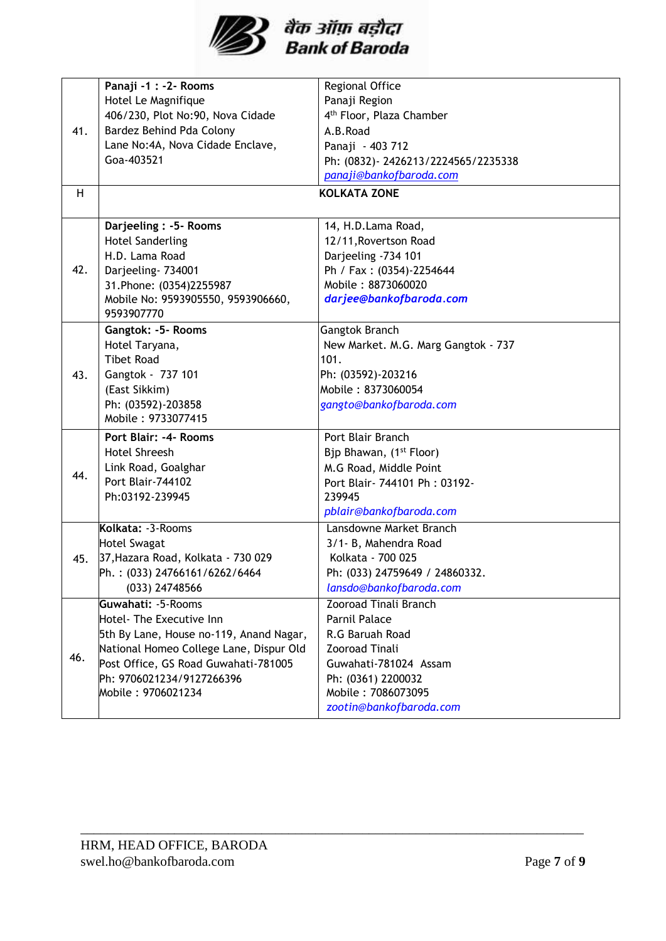

|     | Panaji -1 : -2- Rooms                   | Regional Office                      |
|-----|-----------------------------------------|--------------------------------------|
|     | Hotel Le Magnifique                     | Panaji Region                        |
|     | 406/230, Plot No:90, Nova Cidade        | 4 <sup>th</sup> Floor, Plaza Chamber |
| 41. | Bardez Behind Pda Colony                | A.B.Road                             |
|     | Lane No:4A, Nova Cidade Enclave,        | Panaji - 403 712                     |
|     | Goa-403521                              | Ph: (0832)-2426213/2224565/2235338   |
|     |                                         | panaji@bankofbaroda.com              |
| H   |                                         | <b>KOLKATA ZONE</b>                  |
|     |                                         |                                      |
|     | Darjeeling : - 5- Rooms                 | 14, H.D.Lama Road,                   |
|     | <b>Hotel Sanderling</b>                 | 12/11, Rovertson Road                |
|     | H.D. Lama Road                          | Darjeeling -734 101                  |
| 42. | Darjeeling- 734001                      | Ph / Fax: (0354)-2254644             |
|     | 31. Phone: (0354) 2255987               | Mobile: 8873060020                   |
|     | Mobile No: 9593905550, 9593906660,      | darjee@bankofbaroda.com              |
|     | 9593907770                              |                                      |
|     | Gangtok: -5- Rooms                      | Gangtok Branch                       |
|     | Hotel Taryana,                          | New Market. M.G. Marg Gangtok - 737  |
|     | <b>Tibet Road</b>                       | 101.                                 |
| 43. | Gangtok - 737 101                       | Ph: (03592)-203216                   |
|     | (East Sikkim)                           | Mobile: 8373060054                   |
|     | Ph: (03592)-203858                      | gangto@bankofbaroda.com              |
|     | Mobile: 9733077415                      |                                      |
|     | Port Blair: -4- Rooms                   | Port Blair Branch                    |
|     | <b>Hotel Shreesh</b>                    | Bjp Bhawan, (1 <sup>st</sup> Floor)  |
| 44. | Link Road, Goalghar                     | M.G Road, Middle Point               |
|     | Port Blair-744102                       | Port Blair- 744101 Ph: 03192-        |
|     | Ph:03192-239945                         | 239945                               |
|     |                                         | pblair@bankofbaroda.com              |
|     | Kolkata: -3-Rooms                       | Lansdowne Market Branch              |
|     | <b>Hotel Swagat</b>                     | 3/1- B, Mahendra Road                |
| 45. | 37, Hazara Road, Kolkata - 730 029      | Kolkata - 700 025                    |
|     | Ph.: (033) 24766161/6262/6464           | Ph: (033) 24759649 / 24860332.       |
|     | (033) 24748566                          | lansdo@bankofbaroda.com              |
|     | Guwahati: -5-Rooms                      | <b>Zooroad Tinali Branch</b>         |
|     | Hotel- The Executive Inn                | Parnil Palace                        |
|     | 5th By Lane, House no-119, Anand Nagar, | R.G Baruah Road                      |
|     | National Homeo College Lane, Dispur Old | <b>Zooroad Tinali</b>                |
| 46. | Post Office, GS Road Guwahati-781005    | Guwahati-781024 Assam                |
|     | Ph: 9706021234/9127266396               | Ph: (0361) 2200032                   |
|     | Mobile: 9706021234                      | Mobile: 7086073095                   |
|     |                                         | zootin@bankofbaroda.com              |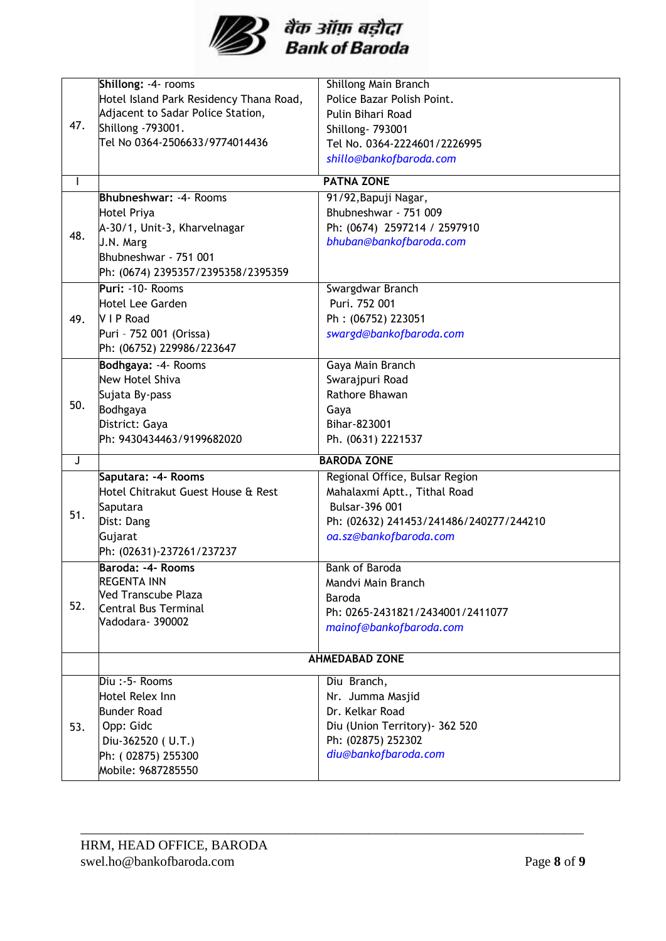

|              | Shillong: -4- rooms                     | <b>Shillong Main Branch</b>             |  |
|--------------|-----------------------------------------|-----------------------------------------|--|
| 47.          | Hotel Island Park Residency Thana Road, | Police Bazar Polish Point.              |  |
|              | Adjacent to Sadar Police Station,       | Pulin Bihari Road                       |  |
|              | Shillong -793001.                       |                                         |  |
|              | Tel No 0364-2506633/9774014436          | Shillong- 793001                        |  |
|              |                                         | Tel No. 0364-2224601/2226995            |  |
|              |                                         | shillo@bankofbaroda.com                 |  |
| $\mathbf{I}$ |                                         | <b>PATNA ZONE</b>                       |  |
|              | <b>Bhubneshwar: -4- Rooms</b>           | 91/92, Bapuji Nagar,                    |  |
|              | Hotel Priya                             | Bhubneshwar - 751 009                   |  |
| 48.          | A-30/1, Unit-3, Kharvelnagar            | Ph: (0674) 2597214 / 2597910            |  |
|              | J.N. Marg                               | bhuban@bankofbaroda.com                 |  |
|              | Bhubneshwar - 751 001                   |                                         |  |
|              | Ph: (0674) 2395357/2395358/2395359      |                                         |  |
|              | Puri: -10- Rooms                        | Swargdwar Branch                        |  |
|              | Hotel Lee Garden                        | Puri. 752 001                           |  |
| 49.          | V I P Road                              | Ph: (06752) 223051                      |  |
|              | Puri - 752 001 (Orissa)                 | swargd@bankofbaroda.com                 |  |
|              | Ph: (06752) 229986/223647               |                                         |  |
|              | Bodhgaya: -4- Rooms                     | Gaya Main Branch                        |  |
|              | <b>New Hotel Shiva</b>                  | Swarajpuri Road                         |  |
|              | Sujata By-pass                          | Rathore Bhawan                          |  |
| 50.          | Bodhgaya                                | Gaya                                    |  |
|              | District: Gaya                          | Bihar-823001                            |  |
|              | Ph: 9430434463/9199682020               | Ph. (0631) 2221537                      |  |
| J            |                                         | <b>BARODA ZONE</b>                      |  |
|              | Saputara: -4- Rooms                     | Regional Office, Bulsar Region          |  |
|              | Hotel Chitrakut Guest House & Rest      | Mahalaxmi Aptt., Tithal Road            |  |
| 51.          | Saputara                                | Bulsar-396 001                          |  |
|              | Dist: Dang                              | Ph: (02632) 241453/241486/240277/244210 |  |
|              | Gujarat                                 | oa.sz@bankofbaroda.com                  |  |
|              | Ph: (02631)-237261/237237               |                                         |  |
|              | Baroda: -4- Rooms                       | Bank of Baroda                          |  |
|              | <b>REGENTA INN</b>                      | Mandvi Main Branch                      |  |
| 52.          | Ved Transcube Plaza                     | Baroda                                  |  |
|              | Central Bus Terminal                    | Ph: 0265-2431821/2434001/2411077        |  |
|              | Vadodara- 390002                        | mainof@bankofbaroda.com                 |  |
|              |                                         |                                         |  |
|              | <b>AHMEDABAD ZONE</b>                   |                                         |  |
| 53.          | Diu:-5- Rooms                           | Diu Branch,                             |  |
|              | Hotel Relex Inn                         | Nr. Jumma Masjid                        |  |
|              | <b>Bunder Road</b>                      | Dr. Kelkar Road                         |  |
|              | Opp: Gidc                               | Diu (Union Territory) - 362 520         |  |
|              | Diu-362520 (U.T.)                       | Ph: (02875) 252302                      |  |
|              | Ph: (02875) 255300                      | diu@bankofbaroda.com                    |  |
|              | Mobile: 9687285550                      |                                         |  |